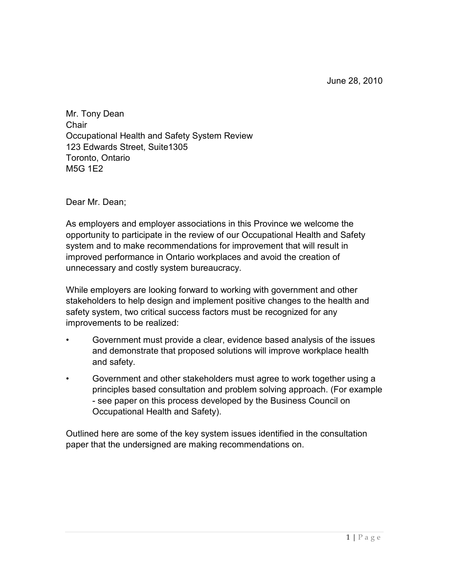Mr. Tony Dean **Chair** Occupational Health and Safety System Review 123 Edwards Street, Suite1305 Toronto, Ontario M5G 1E2

Dear Mr. Dean;

As employers and employer associations in this Province we welcome the opportunity to participate in the review of our Occupational Health and Safety system and to make recommendations for improvement that will result in improved performance in Ontario workplaces and avoid the creation of unnecessary and costly system bureaucracy.

While employers are looking forward to working with government and other stakeholders to help design and implement positive changes to the health and safety system, two critical success factors must be recognized for any improvements to be realized:

- Government must provide a clear, evidence based analysis of the issues and demonstrate that proposed solutions will improve workplace health and safety.
- Government and other stakeholders must agree to work together using a principles based consultation and problem solving approach. (For example - see paper on this process developed by the Business Council on Occupational Health and Safety).

Outlined here are some of the key system issues identified in the consultation paper that the undersigned are making recommendations on.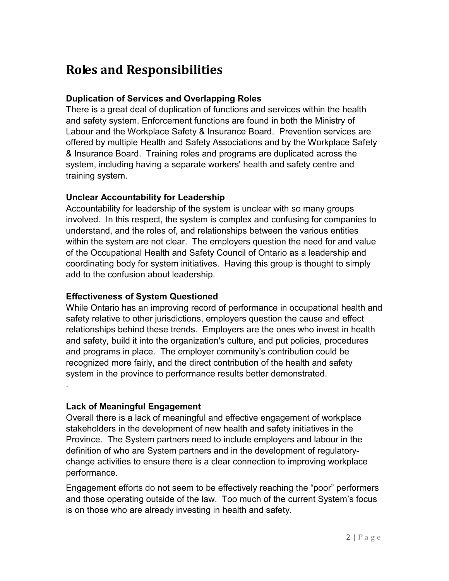## **Roles and Responsibilities**

### **Duplication of Services and Overlapping Roles**

There is a great deal of duplication of functions and services within the health and safety system. Enforcement functions are found in both the Ministry of Labour and the Workplace Safety & Insurance Board. Prevention services are offered by multiple Health and Safety Associations and by the Workplace Safety & Insurance Board. Training roles and programs are duplicated across the system, including having a separate workers' health and safety centre and training system.

### **Unclear Accountability for Leadership**

Accountability for leadership of the system is unclear with so many groups involved. In this respect, the system is complex and confusing for companies to understand, and the roles of, and relationships between the various entities within the system are not clear. The employers question the need for and value of the Occupational Health and Safety Council of Ontario as a leadership and coordinating body for system initiatives. Having this group is thought to simply add to the confusion about leadership.

### **Effectiveness of System Questioned**

While Ontario has an improving record of performance in occupational health and safety relative to other jurisdictions, employers question the cause and effect relationships behind these trends. Employers are the ones who invest in health and safety, build it into the organization's culture, and put policies, procedures and programs in place. The employer community's contribution could be recognized more fairly, and the direct contribution of the health and safety system in the province to performance results better demonstrated.

### **Lack of Meaningful Engagement**

.

Overall there is a lack of meaningful and effective engagement of workplace stakeholders in the development of new health and safety initiatives in the Province. The System partners need to include employers and labour in the definition of who are System partners and in the development of regulatorychange activities to ensure there is a clear connection to improving workplace performance.

Engagement efforts do not seem to be effectively reaching the"poor"performers and those operating outside of the law. Too much of the current System's focus is on those who are already investing in health and safety.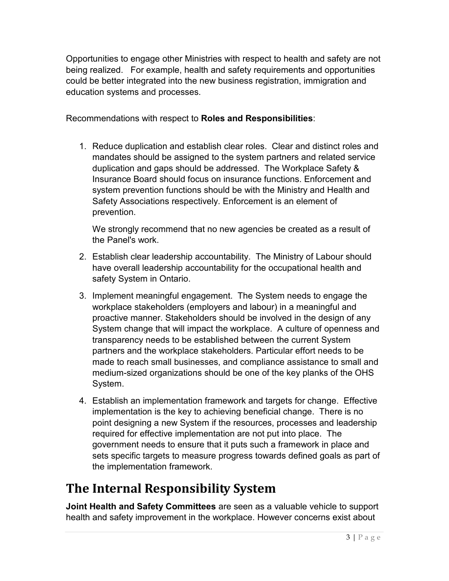Opportunities to engage other Ministries with respect to health and safety are not being realized. For example, health and safety requirements and opportunities could be better integrated into the new business registration, immigration and education systems and processes.

Recommendations with respect to **Roles and Responsibilities**:

1. Reduce duplication and establish clear roles. Clear and distinct roles and mandates should be assigned to the system partners and related service duplication and gaps should be addressed. The Workplace Safety & Insurance Board should focus on insurance functions. Enforcement and system prevention functions should be with the Ministry and Health and Safety Associations respectively. Enforcement is an element of prevention.

We strongly recommend that no new agencies be created as a result of the Panel's work.

- 2. Establish clear leadership accountability. The Ministry of Labour should have overall leadership accountability for the occupational health and safety System in Ontario.
- 3. Implement meaningful engagement. The System needs to engage the workplace stakeholders (employers and labour) in a meaningful and proactive manner. Stakeholders should be involved in the design of any System change that will impact the workplace. A culture of openness and transparency needs to be established between the current System partners and the workplace stakeholders. Particular effort needs to be made to reach small businesses, and compliance assistance to small and medium-sized organizations should be one of the key planks of the OHS System.
- 4. Establish an implementation framework and targets for change. Effective implementation is the key to achieving beneficial change. There is no point designing a new System if the resources, processes and leadership required for effective implementation are not put into place. The government needs to ensure that it puts such a framework in place and sets specific targets to measure progress towards defined goals as part of the implementation framework.

# **The Internal Responsibility System**

**Joint Health and Safety Committees** are seen as a valuable vehicle to support health and safety improvement in the workplace. However concerns exist about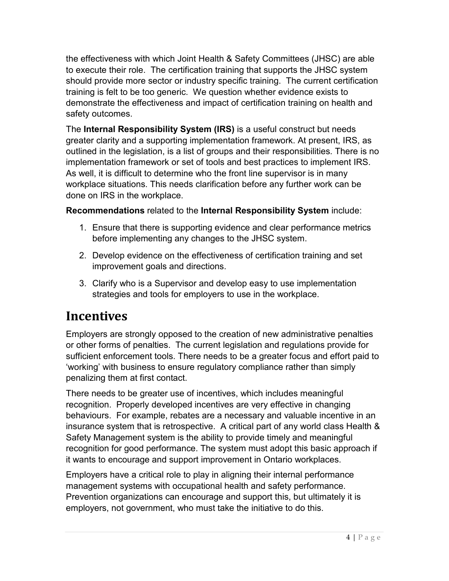the effectiveness with which Joint Health & Safety Committees (JHSC) are able to execute their role. The certification training that supports the JHSC system should provide more sector or industry specific training. The current certification training is felt to be too generic. We question whether evidence exists to demonstrate the effectiveness and impact of certification training on health and safety outcomes.

The **Internal Responsibility System (IRS)** is a useful construct but needs greater clarity and a supporting implementation framework. At present, IRS, as outlined in the legislation, is a list of groups and their responsibilities. There is no implementation framework or set of tools and best practices to implement IRS. As well, it is difficult to determine who the front line supervisor is in many workplace situations. This needs clarification before any further work can be done on IRS in the workplace.

### **Recommendations** related to the **Internal Responsibility System** include:

- 1. Ensure that there is supporting evidence and clear performance metrics before implementing any changes to the JHSC system.
- 2. Develop evidence on the effectiveness of certification training and set improvement goals and directions.
- 3. Clarify who is a Supervisor and develop easy to use implementation strategies and tools for employers to use in the workplace.

### **Incentives**

Employers are strongly opposed to the creation of new administrative penalties or other forms of penalties. The current legislation and regulations provide for sufficient enforcement tools. There needs to be a greater focus and effort paid to 'working' with business to ensure regulatory compliance rather than simply penalizing them at first contact.

There needs to be greater use of incentives, which includes meaningful recognition. Properly developed incentives are very effective in changing behaviours. For example, rebates are a necessary and valuable incentive in an insurance system that is retrospective. A critical part of any world class Health & Safety Management system is the ability to provide timely and meaningful recognition for good performance. The system must adopt this basic approach if it wants to encourage and support improvement in Ontario workplaces.

Employers have a critical role to play in aligning their internal performance management systems with occupational health and safety performance. Prevention organizations can encourage and support this, but ultimately it is employers, not government, who must take the initiative to do this.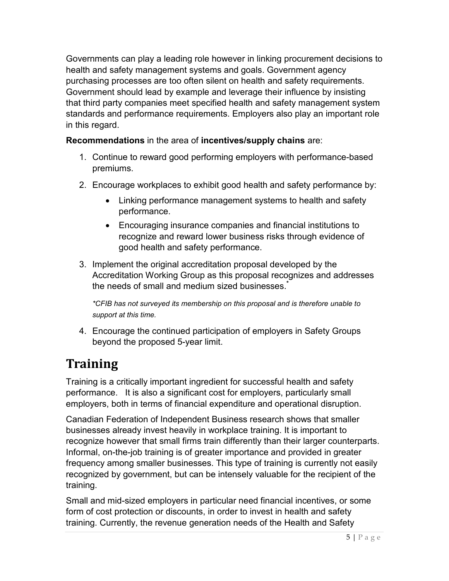Governments can play a leading role however in linking procurement decisions to health and safety management systems and goals. Government agency purchasing processes are too often silent on health and safety requirements. Government should lead by example and leverage their influence by insisting that third party companies meet specified health and safety management system standards and performance requirements. Employers also play an important role in this regard.

### **Recommendations** in the area of **incentives/supply chains** are:

- 1. Continue to reward good performing employers with performance-based premiums.
- 2. Encourage workplaces to exhibit good health and safety performance by:
	- Linking performance management systems to health and safety performance.
	- Encouraging insurance companies and financial institutions to recognize and reward lower business risks through evidence of good health and safety performance.
- 3. Implement the original accreditation proposal developed by the Accreditation Working Group as this proposal recognizes and addresses the needs of small and medium sized businesses. **\***

*\*CFIB has not surveyed its membership on this proposal and is therefore unable to support at this time.*

4. Encourage the continued participation of employers in Safety Groups beyond the proposed 5-year limit.

# **Training**

Training is a critically important ingredient for successful health and safety performance. It is also a significant cost for employers, particularly small employers, both in terms of financial expenditure and operational disruption.

Canadian Federation of Independent Business research shows that smaller businesses already invest heavily in workplace training. It is important to recognize however that small firms train differently than their larger counterparts. Informal, on-the-job training is of greater importance and provided in greater frequency among smaller businesses. This type of training is currently not easily recognized by government, but can be intensely valuable for the recipient of the training.

Small and mid-sized employers in particular need financial incentives, or some form of cost protection or discounts, in order to invest in health and safety training. Currently, the revenue generation needs of the Health and Safety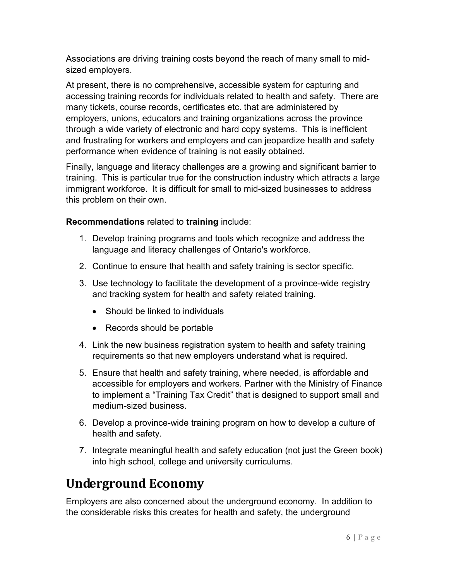Associations are driving training costs beyond the reach of many small to midsized employers.

At present, there is no comprehensive, accessible system for capturing and accessing training records for individuals related to health and safety. There are many tickets, course records, certificates etc. that are administered by employers, unions, educators and training organizations across the province through a wide variety of electronic and hard copy systems. This is inefficient and frustrating for workers and employers and can jeopardize health and safety performance when evidence of training is not easily obtained.

Finally, language and literacy challenges are a growing and significant barrier to training. This is particular true for the construction industry which attracts a large immigrant workforce. It is difficult for small to mid-sized businesses to address this problem on their own.

### **Recommendations** related to **training** include:

- 1. Develop training programs and tools which recognize and address the language and literacy challenges of Ontario's workforce.
- 2. Continue to ensure that health and safety training is sector specific.
- 3. Use technology to facilitate the development of a province-wide registry and tracking system for health and safety related training.
	- Should be linked to individuals
	- Records should be portable
- 4. Link the new business registration system to health and safety training requirements so that new employers understand what is required.
- 5. Ensure that health and safety training, where needed, is affordable and accessible for employers and workers. Partner with the Ministry of Finance to implement a "Training Tax Credit" that is designed to support small and medium-sized business.
- 6. Develop a province-wide training program on how to develop a culture of health and safety.
- 7. Integrate meaningful health and safety education (not just the Green book) into high school, college and university curriculums.

## **Underground Economy**

Employers are also concerned about the underground economy. In addition to the considerable risks this creates for health and safety, the underground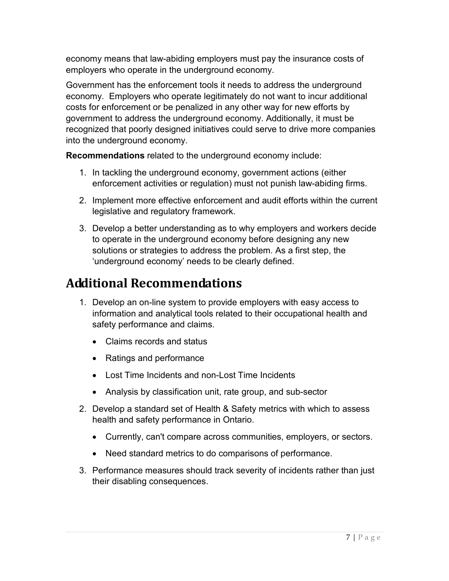economy means that law-abiding employers must pay the insurance costs of employers who operate in the underground economy.

Government has the enforcement tools it needs to address the underground economy. Employers who operate legitimately do not want to incur additional costs for enforcement or be penalized in any other way for new efforts by government to address the underground economy. Additionally, it must be recognized that poorly designed initiatives could serve to drive more companies into the underground economy.

**Recommendations** related to the underground economy include:

- 1. In tackling the underground economy, government actions (either enforcement activities or regulation) must not punish law-abiding firms.
- 2. Implement more effective enforcement and audit efforts within the current legislative and regulatory framework.
- 3. Develop a better understanding as to why employers and workers decide to operate in the underground economy before designing any new solutions or strategies to address the problem. As a first step, the 'underground economy' needs to be clearly defined.

# **Additional Recommendations**

- 1. Develop an on-line system to provide employers with easy access to information and analytical tools related to their occupational health and safety performance and claims.
	- Claims records and status
	- Ratings and performance
	- Lost Time Incidents and non-Lost Time Incidents
	- Analysis by classification unit, rate group, and sub-sector
- 2. Develop a standard set of Health & Safety metrics with which to assess health and safety performance in Ontario.
	- Currently, can't compare across communities, employers, or sectors.
	- Need standard metrics to do comparisons of performance.
- 3. Performance measures should track severity of incidents rather than just their disabling consequences.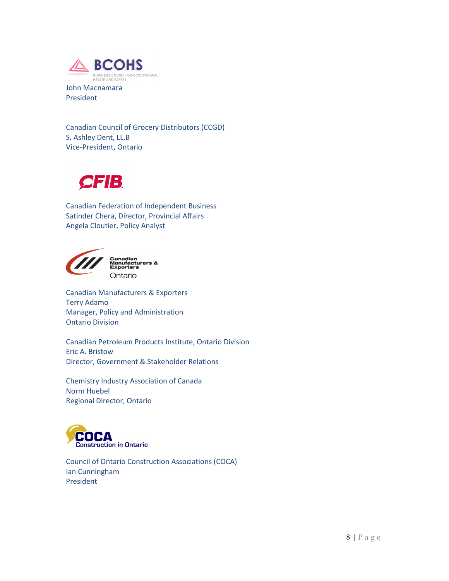

John Macnamara President

Canadian Council of Grocery Distributors (CCGD) S. Ashley Dent, LL.B Vice-President, Ontario



Canadian Federation of Independent Business Satinder Chera, Director, Provincial Affairs Angela Cloutier, Policy Analyst



Canadian<br>Manufacturers &<br>Exporters Ontario

Canadian Manufacturers & Exporters Terry Adamo Manager, Policy and Administration Ontario Division

Canadian Petroleum Products Institute, Ontario Division Eric A. Bristow Director, Government & Stakeholder Relations

Chemistry Industry Association of Canada Norm Huebel Regional Director, Ontario



Council of Ontario Construction Associations (COCA) Ian Cunningham President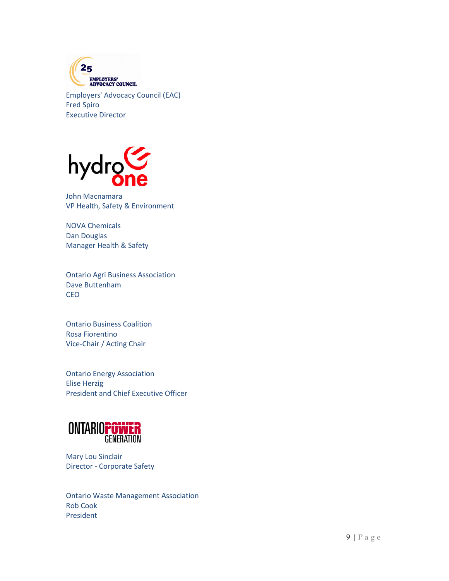

Employers' Advocacy Council (EAC) Fred Spiro Executive Director



John Macnamara VP Health, Safety & Environment

NOVA Chemicals Dan Douglas Manager Health & Safety

Ontario Agri Business Association Dave Buttenham **CEO** 

Ontario Business Coalition Rosa Fiorentino Vice-Chair / Acting Chair

Ontario Energy Association Elise Herzig President and Chief Executive Officer



Mary Lou Sinclair Director - Corporate Safety

Ontario Waste Management Association Rob Cook President